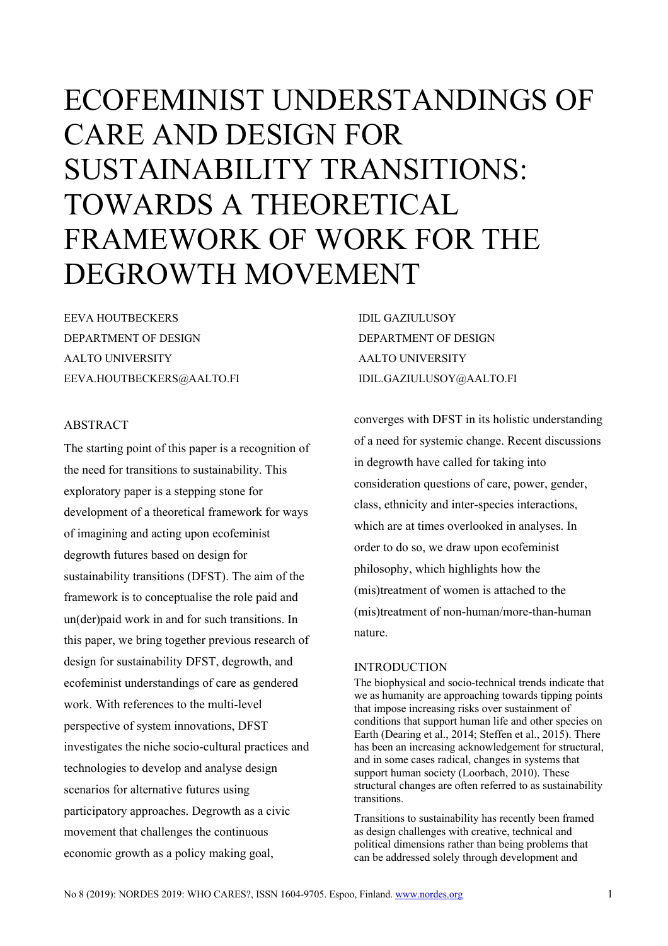# ECOFEMINIST UNDERSTANDINGS OF CARE AND DESIGN FOR SUSTAINABILITY TRANSITIONS: TOWARDS A THEORETICAL FRAMEWORK OF WORK FOR THE DEGROWTH MOVEMENT

EEVA HOUTBECKERS DEPARTMENT OF DESIGN AALTO UNIVERSITY EEVA.HOUTBECKERS@AALTO.FI

# ABSTRACT

The starting point of this paper is a recognition of the need for transitions to sustainability. This exploratory paper is a stepping stone for development of a theoretical framework for ways of imagining and acting upon ecofeminist degrowth futures based on design for sustainability transitions (DFST). The aim of the framework is to conceptualise the role paid and un(der)paid work in and for such transitions. In this paper, we bring together previous research of design for sustainability DFST, degrowth, and ecofeminist understandings of care as gendered work. With references to the multi-level perspective of system innovations, DFST investigates the niche socio-cultural practices and technologies to develop and analyse design scenarios for alternative futures using participatory approaches. Degrowth as a civic movement that challenges the continuous economic growth as a policy making goal,

IDIL GAZIULUSOY DEPARTMENT OF DESIGN AALTO UNIVERSITY IDIL.GAZIULUSOY@AALTO.FI

converges with DFST in its holistic understanding of a need for systemic change. Recent discussions in degrowth have called for taking into consideration questions of care, power, gender, class, ethnicity and inter-species interactions, which are at times overlooked in analyses. In order to do so, we draw upon ecofeminist philosophy, which highlights how the (mis)treatment of women is attached to the (mis)treatment of non-human/more-than-human nature.

## INTRODUCTION

The biophysical and socio-technical trends indicate that we as humanity are approaching towards tipping points that impose increasing risks over sustainment of conditions that support human life and other species on Earth (Dearing et al., 2014; Steffen et al., 2015). There has been an increasing acknowledgement for structural, and in some cases radical, changes in systems that support human society (Loorbach, 2010). These structural changes are often referred to as sustainability transitions.

Transitions to sustainability has recently been framed as design challenges with creative, technical and political dimensions rather than being problems that can be addressed solely through development and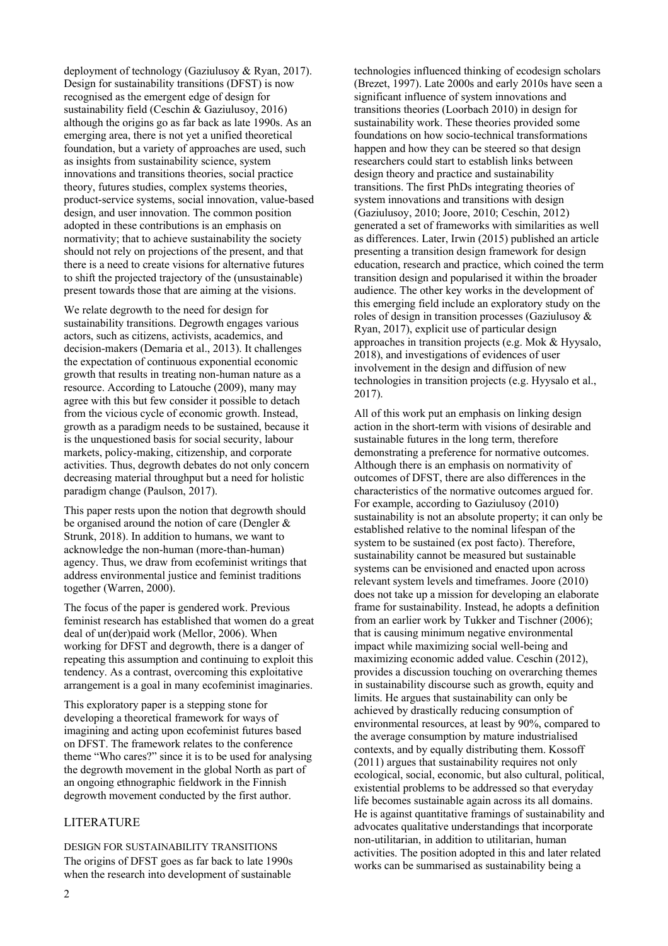deployment of technology (Gaziulusoy & Ryan, 2017). Design for sustainability transitions (DFST) is now recognised as the emergent edge of design for sustainability field (Ceschin & Gaziulusoy, 2016) although the origins go as far back as late 1990s. As an emerging area, there is not yet a unified theoretical foundation, but a variety of approaches are used, such as insights from sustainability science, system innovations and transitions theories, social practice theory, futures studies, complex systems theories, product-service systems, social innovation, value-based design, and user innovation. The common position adopted in these contributions is an emphasis on normativity; that to achieve sustainability the society should not rely on projections of the present, and that there is a need to create visions for alternative futures to shift the projected trajectory of the (unsustainable) present towards those that are aiming at the visions.

We relate degrowth to the need for design for sustainability transitions. Degrowth engages various actors, such as citizens, activists, academics, and decision-makers (Demaria et al., 2013). It challenges the expectation of continuous exponential economic growth that results in treating non-human nature as a resource. According to Latouche (2009), many may agree with this but few consider it possible to detach from the vicious cycle of economic growth. Instead, growth as a paradigm needs to be sustained, because it is the unquestioned basis for social security, labour markets, policy-making, citizenship, and corporate activities. Thus, degrowth debates do not only concern decreasing material throughput but a need for holistic paradigm change (Paulson, 2017).

This paper rests upon the notion that degrowth should be organised around the notion of care (Dengler & Strunk, 2018). In addition to humans, we want to acknowledge the non-human (more-than-human) agency. Thus, we draw from ecofeminist writings that address environmental justice and feminist traditions together (Warren, 2000).

The focus of the paper is gendered work. Previous feminist research has established that women do a great deal of un(der)paid work (Mellor, 2006). When working for DFST and degrowth, there is a danger of repeating this assumption and continuing to exploit this tendency. As a contrast, overcoming this exploitative arrangement is a goal in many ecofeminist imaginaries.

This exploratory paper is a stepping stone for developing a theoretical framework for ways of imagining and acting upon ecofeminist futures based on DFST. The framework relates to the conference theme "Who cares?" since it is to be used for analysing the degrowth movement in the global North as part of an ongoing ethnographic fieldwork in the Finnish degrowth movement conducted by the first author.

#### LITERATURE

DESIGN FOR SUSTAINABILITY TRANSITIONS The origins of DFST goes as far back to late 1990s when the research into development of sustainable

technologies influenced thinking of ecodesign scholars (Brezet, 1997). Late 2000s and early 2010s have seen a significant influence of system innovations and transitions theories (Loorbach 2010) in design for sustainability work. These theories provided some foundations on how socio-technical transformations happen and how they can be steered so that design researchers could start to establish links between design theory and practice and sustainability transitions. The first PhDs integrating theories of system innovations and transitions with design (Gaziulusoy, 2010; Joore, 2010; Ceschin, 2012) generated a set of frameworks with similarities as well as differences. Later, Irwin (2015) published an article presenting a transition design framework for design education, research and practice, which coined the term transition design and popularised it within the broader audience. The other key works in the development of this emerging field include an exploratory study on the roles of design in transition processes (Gaziulusoy & Ryan, 2017), explicit use of particular design approaches in transition projects (e.g. Mok & Hyysalo, 2018), and investigations of evidences of user involvement in the design and diffusion of new technologies in transition projects (e.g. Hyysalo et al., 2017).

All of this work put an emphasis on linking design action in the short-term with visions of desirable and sustainable futures in the long term, therefore demonstrating a preference for normative outcomes. Although there is an emphasis on normativity of outcomes of DFST, there are also differences in the characteristics of the normative outcomes argued for. For example, according to Gaziulusoy (2010) sustainability is not an absolute property; it can only be established relative to the nominal lifespan of the system to be sustained (ex post facto). Therefore, sustainability cannot be measured but sustainable systems can be envisioned and enacted upon across relevant system levels and timeframes. Joore (2010) does not take up a mission for developing an elaborate frame for sustainability. Instead, he adopts a definition from an earlier work by Tukker and Tischner (2006); that is causing minimum negative environmental impact while maximizing social well-being and maximizing economic added value. Ceschin (2012), provides a discussion touching on overarching themes in sustainability discourse such as growth, equity and limits. He argues that sustainability can only be achieved by drastically reducing consumption of environmental resources, at least by 90%, compared to the average consumption by mature industrialised contexts, and by equally distributing them. Kossoff (2011) argues that sustainability requires not only ecological, social, economic, but also cultural, political, existential problems to be addressed so that everyday life becomes sustainable again across its all domains. He is against quantitative framings of sustainability and advocates qualitative understandings that incorporate non-utilitarian, in addition to utilitarian, human activities. The position adopted in this and later related works can be summarised as sustainability being a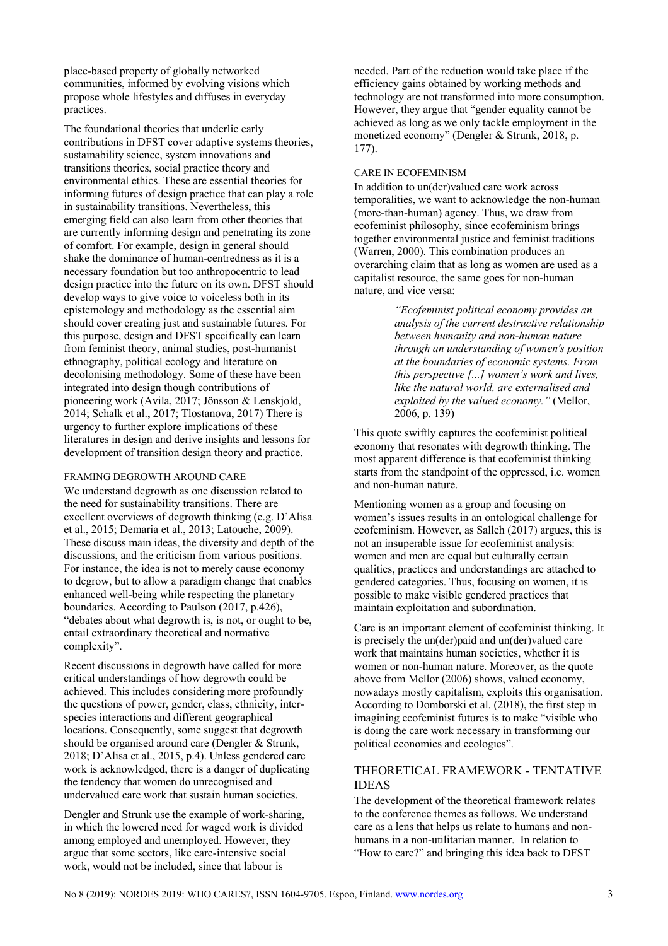place-based property of globally networked communities, informed by evolving visions which propose whole lifestyles and diffuses in everyday practices.

The foundational theories that underlie early contributions in DFST cover adaptive systems theories, sustainability science, system innovations and transitions theories, social practice theory and environmental ethics. These are essential theories for informing futures of design practice that can play a role in sustainability transitions. Nevertheless, this emerging field can also learn from other theories that are currently informing design and penetrating its zone of comfort. For example, design in general should shake the dominance of human-centredness as it is a necessary foundation but too anthropocentric to lead design practice into the future on its own. DFST should develop ways to give voice to voiceless both in its epistemology and methodology as the essential aim should cover creating just and sustainable futures. For this purpose, design and DFST specifically can learn from feminist theory, animal studies, post-humanist ethnography, political ecology and literature on decolonising methodology. Some of these have been integrated into design though contributions of pioneering work (Avila, 2017; Jönsson & Lenskjold, 2014; Schalk et al., 2017; Tlostanova, 2017) There is urgency to further explore implications of these literatures in design and derive insights and lessons for development of transition design theory and practice.

#### FRAMING DEGROWTH AROUND CARE

We understand degrowth as one discussion related to the need for sustainability transitions. There are excellent overviews of degrowth thinking (e.g. D'Alisa et al., 2015; Demaria et al., 2013; Latouche, 2009). These discuss main ideas, the diversity and depth of the discussions, and the criticism from various positions. For instance, the idea is not to merely cause economy to degrow, but to allow a paradigm change that enables enhanced well-being while respecting the planetary boundaries. According to Paulson (2017, p.426), "debates about what degrowth is, is not, or ought to be, entail extraordinary theoretical and normative complexity".

Recent discussions in degrowth have called for more critical understandings of how degrowth could be achieved. This includes considering more profoundly the questions of power, gender, class, ethnicity, interspecies interactions and different geographical locations. Consequently, some suggest that degrowth should be organised around care (Dengler & Strunk, 2018; D'Alisa et al., 2015, p.4). Unless gendered care work is acknowledged, there is a danger of duplicating the tendency that women do unrecognised and undervalued care work that sustain human societies.

Dengler and Strunk use the example of work-sharing, in which the lowered need for waged work is divided among employed and unemployed. However, they argue that some sectors, like care-intensive social work, would not be included, since that labour is

needed. Part of the reduction would take place if the efficiency gains obtained by working methods and technology are not transformed into more consumption. However, they argue that "gender equality cannot be achieved as long as we only tackle employment in the monetized economy" (Dengler & Strunk, 2018, p. 177).

#### CARE IN ECOFEMINISM

In addition to un(der)valued care work across temporalities, we want to acknowledge the non-human (more-than-human) agency. Thus, we draw from ecofeminist philosophy, since ecofeminism brings together environmental justice and feminist traditions (Warren, 2000). This combination produces an overarching claim that as long as women are used as a capitalist resource, the same goes for non-human nature, and vice versa:

> *"Ecofeminist political economy provides an analysis of the current destructive relationship between humanity and non-human nature through an understanding of women's position at the boundaries of economic systems. From this perspective [...] women's work and lives, like the natural world, are externalised and exploited by the valued economy."* (Mellor, 2006, p. 139)

This quote swiftly captures the ecofeminist political economy that resonates with degrowth thinking. The most apparent difference is that ecofeminist thinking starts from the standpoint of the oppressed, i.e. women and non-human nature.

Mentioning women as a group and focusing on women's issues results in an ontological challenge for ecofeminism. However, as Salleh (2017) argues, this is not an insuperable issue for ecofeminist analysis: women and men are equal but culturally certain qualities, practices and understandings are attached to gendered categories. Thus, focusing on women, it is possible to make visible gendered practices that maintain exploitation and subordination.

Care is an important element of ecofeminist thinking. It is precisely the un(der)paid and un(der)valued care work that maintains human societies, whether it is women or non-human nature. Moreover, as the quote above from Mellor (2006) shows, valued economy, nowadays mostly capitalism, exploits this organisation. According to Domborski et al. (2018), the first step in imagining ecofeminist futures is to make "visible who is doing the care work necessary in transforming our political economies and ecologies".

## THEORETICAL FRAMEWORK - TENTATIVE IDEAS

The development of the theoretical framework relates to the conference themes as follows. We understand care as a lens that helps us relate to humans and nonhumans in a non-utilitarian manner. In relation to "How to care?" and bringing this idea back to DFST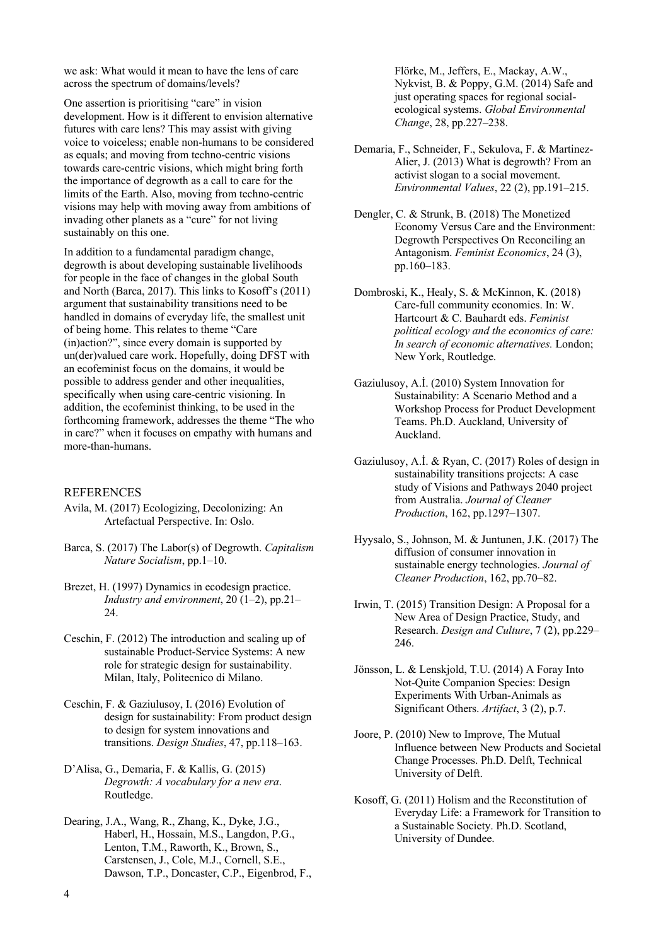we ask: What would it mean to have the lens of care across the spectrum of domains/levels?

One assertion is prioritising "care" in vision development. How is it different to envision alternative futures with care lens? This may assist with giving voice to voiceless; enable non-humans to be considered as equals; and moving from techno-centric visions towards care-centric visions, which might bring forth the importance of degrowth as a call to care for the limits of the Earth. Also, moving from techno-centric visions may help with moving away from ambitions of invading other planets as a "cure" for not living sustainably on this one.

In addition to a fundamental paradigm change, degrowth is about developing sustainable livelihoods for people in the face of changes in the global South and North (Barca, 2017). This links to Kosoff's (2011) argument that sustainability transitions need to be handled in domains of everyday life, the smallest unit of being home. This relates to theme "Care (in)action?", since every domain is supported by un(der)valued care work. Hopefully, doing DFST with an ecofeminist focus on the domains, it would be possible to address gender and other inequalities, specifically when using care-centric visioning. In addition, the ecofeminist thinking, to be used in the forthcoming framework, addresses the theme "The who in care?" when it focuses on empathy with humans and more-than-humans.

#### **REFERENCES**

- Avila, M. (2017) Ecologizing, Decolonizing: An Artefactual Perspective. In: Oslo.
- Barca, S. (2017) The Labor(s) of Degrowth. *Capitalism Nature Socialism*, pp.1–10.
- Brezet, H. (1997) Dynamics in ecodesign practice. *Industry and environment*, 20 (1–2), pp.21– 24.
- Ceschin, F. (2012) The introduction and scaling up of sustainable Product-Service Systems: A new role for strategic design for sustainability. Milan, Italy, Politecnico di Milano.
- Ceschin, F. & Gaziulusoy, I. (2016) Evolution of design for sustainability: From product design to design for system innovations and transitions. *Design Studies*, 47, pp.118–163.
- D'Alisa, G., Demaria, F. & Kallis, G. (2015) *Degrowth: A vocabulary for a new era*. Routledge.
- Dearing, J.A., Wang, R., Zhang, K., Dyke, J.G., Haberl, H., Hossain, M.S., Langdon, P.G., Lenton, T.M., Raworth, K., Brown, S., Carstensen, J., Cole, M.J., Cornell, S.E., Dawson, T.P., Doncaster, C.P., Eigenbrod, F.,

Flörke, M., Jeffers, E., Mackay, A.W., Nykvist, B. & Poppy, G.M. (2014) Safe and just operating spaces for regional socialecological systems. *Global Environmental Change*, 28, pp.227–238.

- Demaria, F., Schneider, F., Sekulova, F. & Martinez-Alier, J. (2013) What is degrowth? From an activist slogan to a social movement. *Environmental Values*, 22 (2), pp.191–215.
- Dengler, C. & Strunk, B. (2018) The Monetized Economy Versus Care and the Environment: Degrowth Perspectives On Reconciling an Antagonism. *Feminist Economics*, 24 (3), pp.160–183.
- Dombroski, K., Healy, S. & McKinnon, K. (2018) Care-full community economies. In: W. Hartcourt & C. Bauhardt eds. *Feminist political ecology and the economics of care: In search of economic alternatives.* London; New York, Routledge.
- Gaziulusoy, A.İ. (2010) System Innovation for Sustainability: A Scenario Method and a Workshop Process for Product Development Teams. Ph.D. Auckland, University of Auckland.
- Gaziulusoy, A.İ. & Ryan, C. (2017) Roles of design in sustainability transitions projects: A case study of Visions and Pathways 2040 project from Australia. *Journal of Cleaner Production*, 162, pp.1297–1307.
- Hyysalo, S., Johnson, M. & Juntunen, J.K. (2017) The diffusion of consumer innovation in sustainable energy technologies. *Journal of Cleaner Production*, 162, pp.70–82.
- Irwin, T. (2015) Transition Design: A Proposal for a New Area of Design Practice, Study, and Research. *Design and Culture*, 7 (2), pp.229– 246.
- Jönsson, L. & Lenskjold, T.U. (2014) A Foray Into Not-Quite Companion Species: Design Experiments With Urban-Animals as Significant Others. *Artifact*, 3 (2), p.7.
- Joore, P. (2010) New to Improve, The Mutual Influence between New Products and Societal Change Processes. Ph.D. Delft, Technical University of Delft.
- Kosoff, G. (2011) Holism and the Reconstitution of Everyday Life: a Framework for Transition to a Sustainable Society. Ph.D. Scotland, University of Dundee.